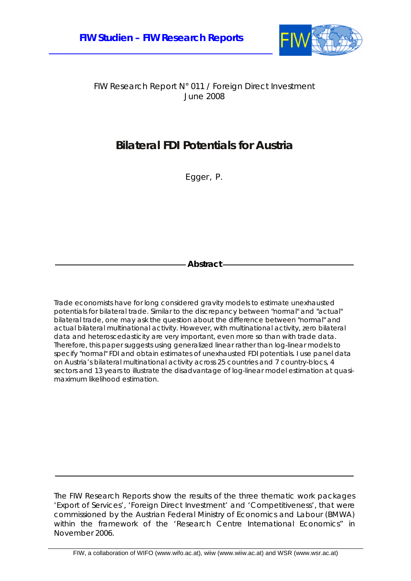

FIW Research Report N° 011 / Foreign Direct Investment June 2008

### **Bilateral FDI Potentials for Austria**

Egger, P.

**Abstract** 

Trade economists have for long considered gravity models to estimate unexhausted potentials for bilateral trade. Similar to the discrepancy between "normal" and "actual" bilateral trade, one may ask the question about the difference between "normal" and actual bilateral multinational activity. However, with multinational activity, zero bilateral data and heteroscedasticity are very important, even more so than with trade data. Therefore, this paper suggests using generalized linear rather than log-linear models to specify "normal" FDI and obtain estimates of unexhausted FDI potentials. I use panel data on Austria's bilateral multinational activity across 25 countries and 7 country-blocs, 4 sectors and 13 years to illustrate the disadvantage of log-linear model estimation at quasimaximum likelihood estimation.

The FIW Research Reports show the results of the three thematic work packages 'Export of Services', 'Foreign Direct Investment' and 'Competitiveness', that were commissioned by the Austrian Federal Ministry of Economics and Labour (BMWA) within the framework of the 'Research Centre International Economics" in November 2006.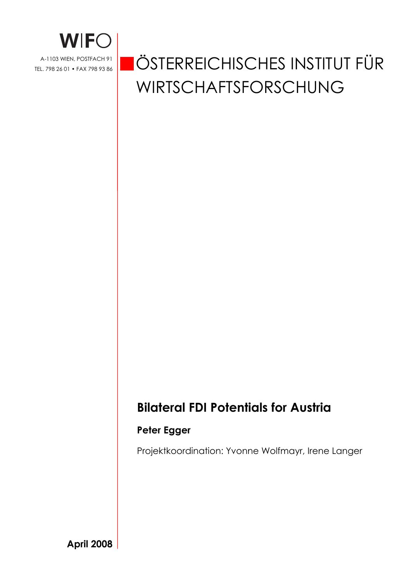

# ÖSTERREICHISCHES INSTITUT FÜR WIRTSCHAFTSFORSCHUNG

## **Bilateral FDI Potentials for Austria**

#### **Peter Egger**

Projektkoordination: Yvonne Wolfmayr, Irene Langer

**April 2008**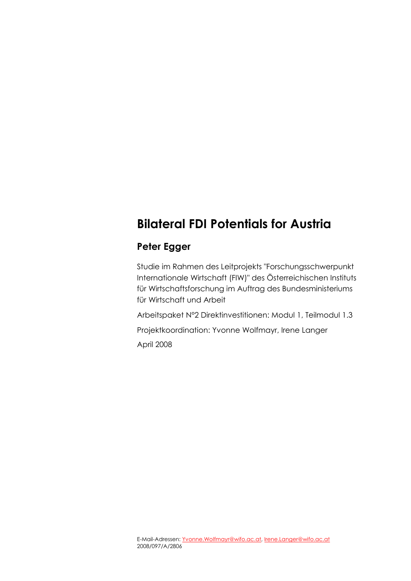# **Bilateral FDI Potentials for Austria**

#### **Peter Egger**

Studie im Rahmen des Leitprojekts "Forschungsschwerpunkt Internationale Wirtschaft (FIW)" des Österreichischen Instituts für Wirtschaftsforschung im Auftrag des Bundesministeriums für Wirtschaft und Arbeit

Arbeitspaket N°2 Direktinvestitionen: Modul 1, Teilmodul 1.3

Projektkoordination: Yvonne Wolfmayr, Irene Langer April 2008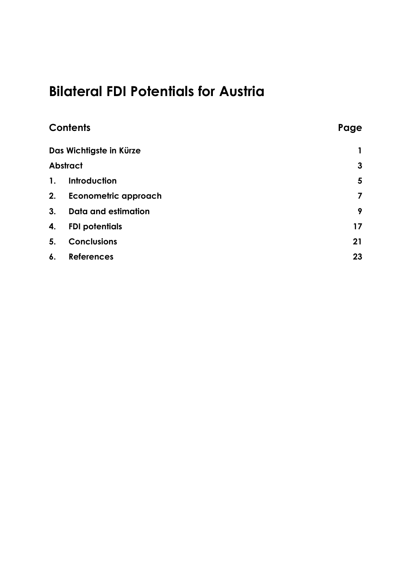# **Bilateral FDI Potentials for Austria**

|                 | <b>Contents</b>             | Page |
|-----------------|-----------------------------|------|
|                 | Das Wichtigste in Kürze     |      |
| <b>Abstract</b> |                             | 3    |
| $\mathbf{1}$ .  | Introduction                | 5    |
| 2.              | <b>Econometric approach</b> | 7    |
| 3.              | <b>Data and estimation</b>  | 9    |
| 4.              | <b>FDI potentials</b>       | 17   |
| 5.              | <b>Conclusions</b>          | 21   |
| 6.              | <b>References</b>           | 23   |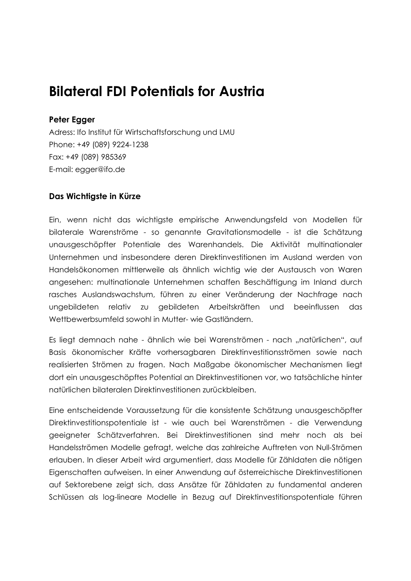# **Bilateral FDI Potentials for Austria**

#### **Peter Egger**

Adress: Ifo Institut für Wirtschaftsforschung und LMU Phone: +49 (089) 9224-1238 Fax: +49 (089) 985369 E-mail: egger@ifo.de

#### **Das Wichtigste in Kürze**

Ein, wenn nicht das wichtigste empirische Anwendungsfeld von Modellen für bilaterale Warenströme - so genannte Gravitationsmodelle - ist die Schätzung unausgeschöpfter Potentiale des Warenhandels. Die Aktivität multinationaler Unternehmen und insbesondere deren Direktinvestitionen im Ausland werden von Handelsökonomen mittlerweile als ähnlich wichtig wie der Austausch von Waren angesehen: multinationale Unternehmen schaffen Beschäftigung im Inland durch rasches Auslandswachstum, führen zu einer Veränderung der Nachfrage nach ungebildeten relativ zu gebildeten Arbeitskräften und beeinflussen das Wettbewerbsumfeld sowohl in Mutter- wie Gastländern.

Es liegt demnach nahe - ähnlich wie bei Warenströmen - nach "natürlichen", auf Basis ökonomischer Kräfte vorhersagbaren Direktinvestitionsströmen sowie nach realisierten Strömen zu fragen. Nach Maßgabe ökonomischer Mechanismen liegt dort ein unausgeschöpftes Potential an Direktinvestitionen vor, wo tatsächliche hinter natürlichen bilateralen Direktinvestitionen zurückbleiben.

Eine entscheidende Voraussetzung für die konsistente Schätzung unausgeschöpfter Direktinvestitionspotentiale ist - wie auch bei Warenströmen - die Verwendung geeigneter Schätzverfahren. Bei Direktinvestitionen sind mehr noch als bei Handelsströmen Modelle gefragt, welche das zahlreiche Auftreten von Null-Strömen erlauben. In dieser Arbeit wird argumentiert, dass Modelle für Zähldaten die nötigen Eigenschaften aufweisen. In einer Anwendung auf österreichische Direktinvestitionen auf Sektorebene zeigt sich, dass Ansätze für Zähldaten zu fundamental anderen Schlüssen als log-lineare Modelle in Bezug auf Direktinvestitionspotentiale führen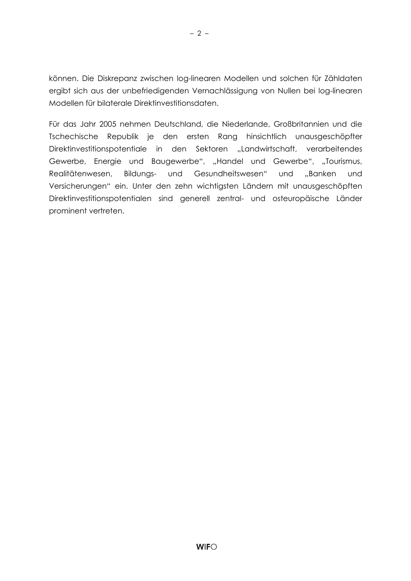können. Die Diskrepanz zwischen log-linearen Modellen und solchen für Zähldaten ergibt sich aus der unbefriedigenden Vernachlässigung von Nullen bei log-linearen Modellen für bilaterale Direktinvestitionsdaten.

Für das Jahr 2005 nehmen Deutschland, die Niederlande, Großbritannien und die Tschechische Republik je den ersten Rang hinsichtlich unausgeschöpfter Direktinvestitionspotentiale in den Sektoren "Landwirtschaft, verarbeitendes Gewerbe, Energie und Baugewerbe", "Handel und Gewerbe", "Tourismus, Realitätenwesen, Bildungs- und Gesundheitswesen" und "Banken und Versicherungen" ein. Unter den zehn wichtigsten Ländern mit unausgeschöpften Direktinvestitionspotentialen sind generell zentral- und osteuropäische Länder prominent vertreten.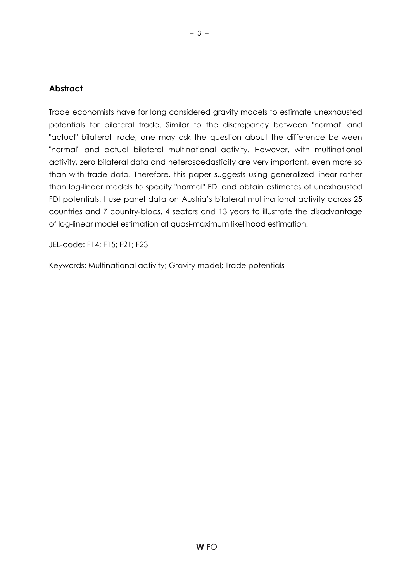#### **Abstract**

Trade economists have for long considered gravity models to estimate unexhausted potentials for bilateral trade. Similar to the discrepancy between "normal" and "actual" bilateral trade, one may ask the question about the difference between "normal" and actual bilateral multinational activity. However, with multinational activity, zero bilateral data and heteroscedasticity are very important, even more so than with trade data. Therefore, this paper suggests using generalized linear rather than log-linear models to specify "normal" FDI and obtain estimates of unexhausted FDI potentials. I use panel data on Austria's bilateral multinational activity across 25 countries and 7 country-blocs, 4 sectors and 13 years to illustrate the disadvantage of log-linear model estimation at quasi-maximum likelihood estimation.

JEL-code: F14; F15; F21; F23

Keywords: Multinational activity; Gravity model; Trade potentials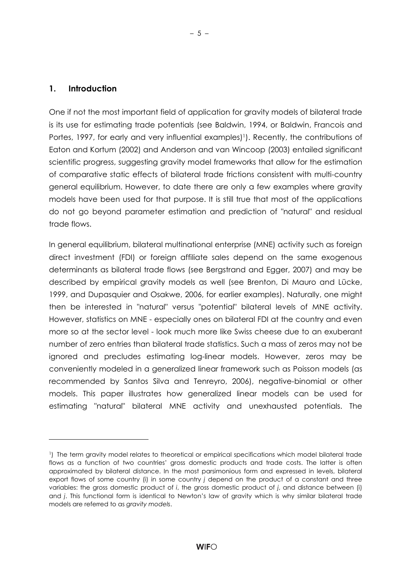#### **1. Introduction**

 $\overline{a}$ 

One if not the most important field of application for gravity models of bilateral trade is its use for estimating trade potentials (see Baldwin, 1994, or Baldwin, Francois and Portes, 1997, for early and very influential examples)<sup>1</sup>). Recently, the contributions of Eaton and Kortum (2002) and Anderson and van Wincoop (2003) entailed significant scientific progress, suggesting gravity model frameworks that allow for the estimation of comparative static effects of bilateral trade frictions consistent with multi-country general equilibrium. However, to date there are only a few examples where gravity models have been used for that purpose. It is still true that most of the applications do not go beyond parameter estimation and prediction of "natural" and residual trade flows.

In general equilibrium, bilateral multinational enterprise (MNE) activity such as foreign direct investment (FDI) or foreign affiliate sales depend on the same exogenous determinants as bilateral trade flows (see Bergstrand and Egger, 2007) and may be described by empirical gravity models as well (see Brenton, Di Mauro and Lücke, 1999, and Dupasquier and Osakwe, 2006, for earlier examples). Naturally, one might then be interested in "natural" versus "potential" bilateral levels of MNE activity. However, statistics on MNE - especially ones on bilateral FDI at the country and even more so at the sector level - look much more like Swiss cheese due to an exuberant number of zero entries than bilateral trade statistics. Such a mass of zeros may not be ignored and precludes estimating log-linear models. However, zeros may be conveniently modeled in a generalized linear framework such as Poisson models (as recommended by Santos Silva and Tenreyro, 2006), negative-binomial or other models. This paper illustrates how generalized linear models can be used for estimating "natural" bilateral MNE activity and unexhausted potentials. The

<sup>1)</sup> The term gravity model relates to theoretical or empirical specifications which model bilateral trade flows as a function of two countries' gross domestic products and trade costs. The latter is often approximated by bilateral distance. In the most parsimonious form and expressed in levels, bilateral export flows of some country (i) in some country *j* depend on the product of a constant and three variables: the gross domestic product of *i*, the gross domestic product of *j*, and distance between (i) and *j*. This functional form is identical to Newton's law of gravity which is why similar bilateral trade models are referred to as *gravity models*.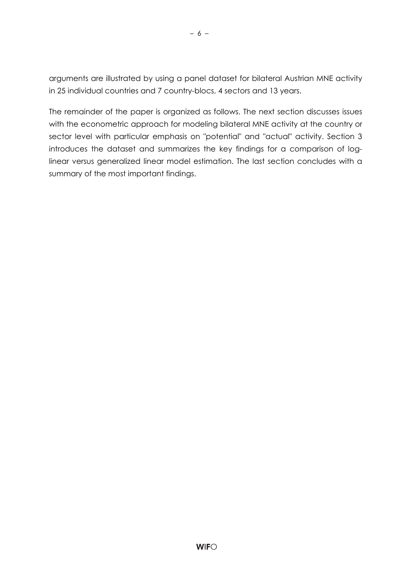arguments are illustrated by using a panel dataset for bilateral Austrian MNE activity in 25 individual countries and 7 country-blocs, 4 sectors and 13 years.

The remainder of the paper is organized as follows. The next section discusses issues with the econometric approach for modeling bilateral MNE activity at the country or sector level with particular emphasis on "potential" and "actual" activity. Section 3 introduces the dataset and summarizes the key findings for a comparison of loglinear versus generalized linear model estimation. The last section concludes with a summary of the most important findings.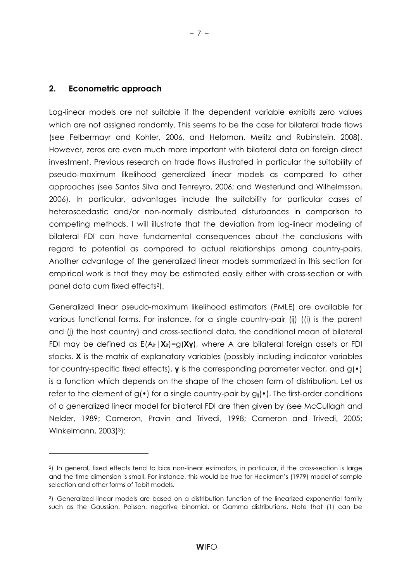#### **2. Econometric approach**

Log-linear models are not suitable if the dependent variable exhibits zero values which are not assigned randomly. This seems to be the case for bilateral trade flows (see Felbermayr and Kohler, 2006, and Helpman, Melitz and Rubinstein, 2008). However, zeros are even much more important with bilateral data on foreign direct investment. Previous research on trade flows illustrated in particular the suitability of pseudo-maximum likelihood generalized linear models as compared to other approaches (see Santos Silva and Tenreyro, 2006; and Westerlund and Wilhelmsson, 2006). In particular, advantages include the suitability for particular cases of heteroscedastic and/or non-normally distributed disturbances in comparison to competing methods. I will illustrate that the deviation from log-linear modeling of bilateral FDI can have fundamental consequences about the conclusions with regard to potential as compared to actual relationships among country-pairs. Another advantage of the generalized linear models summarized in this section for empirical work is that they may be estimated easily either with cross-section or with panel data cum fixed effects2).

– 7 –

Generalized linear pseudo-maximum likelihood estimators (PMLE) are available for various functional forms. For instance, for a single country-pair (ij) ((i) is the parent and (j) the host country) and cross-sectional data, the conditional mean of bilateral FDI may be defined as E(Ait|**X**it)=g(**Xγ**), where A are bilateral foreign assets or FDI stocks, **X** is the matrix of explanatory variables (possibly including indicator variables for country-specific fixed effects), **γ** is the corresponding parameter vector, and g(•) is a function which depends on the shape of the chosen form of distribution. Let us refer to the element of  $g(\cdot)$  for a single country-pair by  $g_{ii}(\cdot)$ . The first-order conditions of a generalized linear model for bilateral FDI are then given by (see McCullagh and Nelder, 1989; Cameron, Pravin and Trivedi, 1998; Cameron and Trivedi, 2005; Winkelmann, 2003)3):

<sup>2)</sup> In general, fixed effects tend to bias non-linear estimators, in particular, if the cross-section is large and the time dimension is small. For instance, this would be true for Heckman's (1979) model of sample selection and other forms of Tobit models.

<sup>3)</sup> Generalized linear models are based on a distribution function of the linearized exponential family such as the Gaussian, Poisson, negative binomial, or Gamma distributions. Note that (1) can be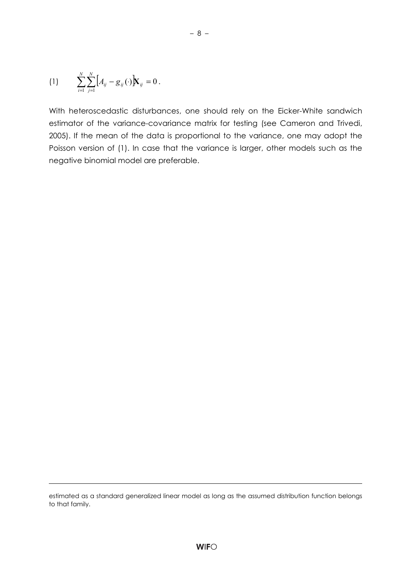(1) 
$$
\sum_{i=1}^N \sum_{j=1}^N [A_{ij} - g_{ij}(\cdot) \mathbf{X}_{ij} = 0.
$$

With heteroscedastic disturbances, one should rely on the Eicker-White sandwich estimator of the variance-covariance matrix for testing (see Cameron and Trivedi, 2005). If the mean of the data is proportional to the variance, one may adopt the Poisson version of (1). In case that the variance is larger, other models such as the negative binomial model are preferable.

estimated as a standard generalized linear model as long as the assumed distribution function belongs to that family.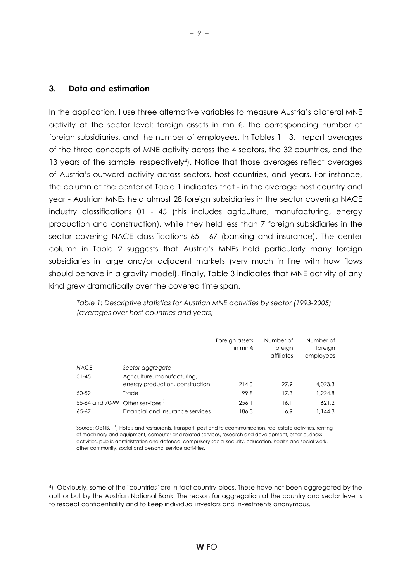$\overline{a}$ 

In the application, I use three alternative variables to measure Austria's bilateral MNE activity at the sector level: foreign assets in mn €, the corresponding number of foreign subsidiaries, and the number of employees. In Tables 1 - 3, I report averages of the three concepts of MNE activity across the 4 sectors, the 32 countries, and the 13 years of the sample, respectively4). Notice that those averages reflect averages of Austria's outward activity across sectors, host countries, and years. For instance, the column at the center of Table 1 indicates that - in the average host country and year - Austrian MNEs held almost 28 foreign subsidiaries in the sector covering NACE industry classifications 01 - 45 (this includes agriculture, manufacturing, energy production and construction), while they held less than 7 foreign subsidiaries in the sector covering NACE classifications 65 - 67 (banking and insurance). The center column in Table 2 suggests that Austria's MNEs hold particularly many foreign subsidiaries in large and/or adjacent markets (very much in line with how flows should behave in a gravity model). Finally, Table 3 indicates that MNE activity of any kind grew dramatically over the covered time span.

*Table 1: Descriptive statistics for Austrian MNE activities by sector (1993-2005) (averages over host countries and years)*

|             |                                              | Foreign assets<br>in mn $\epsilon$ | Number of<br>foreign<br>affiliates | Number of<br>foreign<br>employees |
|-------------|----------------------------------------------|------------------------------------|------------------------------------|-----------------------------------|
| <b>NACE</b> | Sector aggregate                             |                                    |                                    |                                   |
| $01 - 45$   | Agriculture, manufacturing,                  |                                    |                                    |                                   |
|             | energy production, construction              | 214.0                              | 27.9                               | 4,023.3                           |
| $50 - 52$   | Trade                                        | 99.8                               | 17.3                               | 1.224.8                           |
|             | 55-64 and 70-99 Other services <sup>1)</sup> | 256.1                              | 16.1                               | 621.2                             |
| 65-67       | Financial and insurance services             | 186.3                              | 6.9                                | 1,144.3                           |

Source: OeNB. - <sup>1</sup> ) Hotels and restaurants, transport, post and telecommunication, real estate activities, renting of machinery and equipment, computer and related services, research and development, other business activities, public administration and defence; compulsory social security, education, health and social work, other community, social and personal service activities.

<sup>4)</sup> Obviously, some of the "countries" are in fact country-blocs. These have not been aggregated by the author but by the Austrian National Bank. The reason for aggregation at the country and sector level is to respect confidentiality and to keep individual investors and investments anonymous.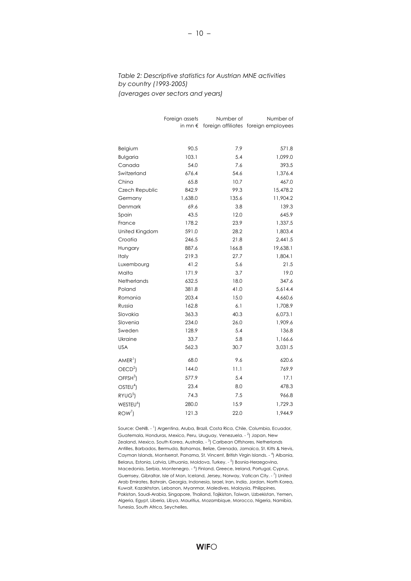#### *Table 2: Descriptive statistics for Austrian MNE activities by country (1993-2005) (averages over sectors and years)*

|                       | Foreign assets   | Number of | Number of                            |
|-----------------------|------------------|-----------|--------------------------------------|
|                       | in mn $\epsilon$ |           | foreign affiliates foreign employees |
|                       |                  |           |                                      |
| Belgium               | 90.5             | 7.9       | 571.8                                |
| <b>Bulgaria</b>       | 103.1            | 5.4       | 1,099.0                              |
| Canada                | 54.0             | 7.6       | 393.5                                |
| Switzerland           | 676.4            | 54.6      | 1,376.4                              |
| China                 | 65.8             | 10.7      | 467.0                                |
| Czech Republic        | 842.9            | 99.3      | 15,478.2                             |
| Germany               | 1,638.0          | 135.6     | 11,904.2                             |
| Denmark               | 69.6             | 3.8       | 139.3                                |
| Spain                 | 43.5             | 12.0      | 645.9                                |
| France                | 178.2            | 23.9      | 1,337.5                              |
| United Kingdom        | 591.0            | 28.2      | 1,803.4                              |
| Croatia               | 246.5            | 21.8      | 2,441.5                              |
| Hungary               | 887.6            | 166.8     | 19,638.1                             |
| Italy                 | 219.3            | 27.7      | 1,804.1                              |
| Luxembourg            | 41.2             | 5.6       | 21.5                                 |
| Malta                 | 171.9            | 3.7       | 19.0                                 |
| Netherlands           | 632.5            | 18.0      | 347.6                                |
| Poland                | 381.8            | 41.0      | 5,614.4                              |
| Romania               | 203.4            | 15.0      | 4,660.6                              |
| Russia                | 162.8            | 6.1       | 1,708.9                              |
| Slovakia              | 363.3            | 40.3      | 6,073.1                              |
| Slovenia              | 234.0            | 26.0      | 1,909.6                              |
| Sweden                | 128.9            | 5.4       | 136.8                                |
| Ukraine               | 33.7             | 5.8       | 1,166.6                              |
| <b>USA</b>            | 562.3            | 30.7      | 3,031.5                              |
| $AMER1$ )             | 68.0             | 9.6       | 620.6                                |
| OECD <sup>2</sup>     | 144.0            | 11.1      | 769.9                                |
| OFFSH <sup>3</sup>    | 577.9            | 5.4       | 17.1                                 |
| OSTEU <sup>4</sup> )  | 23.4             | 8.0       | 478.3                                |
| RYUG <sup>5</sup>     | 74.3             | 7.5       | 966.8                                |
| WESTEU <sup>6</sup> ) | 280.0            | 15.9      | 1,729.3                              |
| $ROW^7$               | 121.3            | 22.0      | 1,944.9                              |
|                       |                  |           |                                      |

Source: OeNB. - <sup>1</sup>) Argentina, Aruba, Brazil, Costa Rica, Chile, Columbia, Ecuador, Guatemala, Honduras, Mexico, Peru, Uruguay, Venezuela. - <sup>2</sup>) Japan, New Zealand, Mexico, South Korea, Australia. - <sup>3</sup>) Caribean Offshores, Netherlands Antilles, Barbados, Bermuda, Bahamas, Belize, Grenada, Jamaica, St. Kitts & Nevis, Cayman Islands, Montserrat, Panama, St. Vincent, British Virgin Islands. - <sup>4</sup>) Albania, Belarus, Estonia, Latvia, Lithuania, Moldova, Turkey. - <sup>5</sup>) Bosnia-Herzegovina, Macedonia, Serbia, Montenegro. - <sup>6</sup>) Finland, Greece, Ireland, Portugal, Cyprus, Guernsey, Gibraltar, Isle of Man, Iceland, Jersey, Norway, Vatican City.  $\frac{7}{1}$  United Arab Emirates, Bahrain, Georgia, Indonesia, Israel, Iran, India, Jordan, North Korea, Kuwait, Kazakhstan, Lebanon, Myanmar, Maledives, Malaysia, Philippines, Pakistan, Saudi-Arabia, Singapore, Thailand, Tajikistan, Taiwan, Uzbekistan, Yemen, Algeria, Egypt, Liberia, Libya, Mauritius, Mozambique, Morocco, Nigeria, Namibia, Tunesia, South Africa, Seychelles.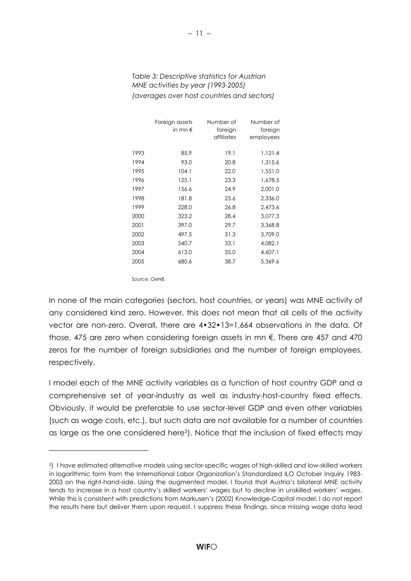#### *Table 3: Descriptive statistics for Austrian MNE activities by year (1993-2005) (averages over host countries and sectors)*

|      | Foreign assets<br>in mn $\epsilon$ | Number of<br>foreign<br>affiliates | Number of<br>foreign<br>employees |
|------|------------------------------------|------------------------------------|-----------------------------------|
| 1993 | 85.9                               | 19.1                               | 1,121.4                           |
| 1994 | 93.0                               | 20.8                               | 1,315.6                           |
| 1995 | 104.1                              | 22.0                               | 1,551.0                           |
| 1996 | 125.1                              | 23.3                               | 1,678.5                           |
| 1997 | 156.6                              | 24.9                               | 2,001.0                           |
| 1998 | 181.8                              | 25.6                               | 2,336.0                           |
| 1999 | 228.0                              | 26.8                               | 2,473.6                           |
| 2000 | 323.2                              | 28.4                               | 3,077.3                           |
| 2001 | 397.0                              | 29.7                               | 3,368.8                           |
| 2002 | 497.5                              | 31.3                               | 3,709.0                           |
| 2003 | 540.7                              | 33.1                               | 4,082.1                           |
| 2004 | 613.0                              | 35.0                               | 4,607.1                           |
| 2005 | 680.6                              | 38.7                               | 5,369.6                           |

Source: OeNB.

In none of the main categories (sectors, host countries, or years) was MNE activity of any considered kind zero. However, this does not mean that all cells of the activity vector are non-zero. Overall, there are 4•32•13=1,664 observations in the data. Of those, 475 are zero when considering foreign assets in mn €. There are 457 and 470 zeros for the number of foreign subsidiaries and the number of foreign employees, respectively.

I model each of the MNE activity variables as a function of host country GDP and a comprehensive set of year-industry as well as industry-host-country fixed effects. Obviously, it would be preferable to use sector-level GDP and even other variables (such as wage costs, etc.), but such data are not available for a number of countries as large as the one considered here<sup>5</sup>). Notice that the inclusion of fixed effects may

<sup>5)</sup> I have estimated alternative models using sector-specific wages of high-skilled and low-skilled workers in logarithmic form from the International Labor Organization's Standardized ILO October Inquiry 1983- 2003 on the right-hand-side. Using the augmented model, I found that Austria's bilateral MNE activity tends to increase in a host country's skilled workers' wages but to decline in unskilled workers' wages. While this is consistent with predictions from Markusen's (2002) Knowledge-Capital model, I do not report the results here but deliver them upon request. I suppress these findings, since missing wage data lead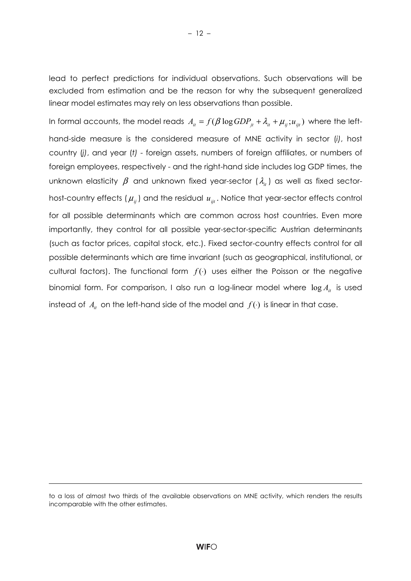lead to perfect predictions for individual observations. Such observations will be excluded from estimation and be the reason for why the subsequent generalized linear model estimates may rely on less observations than possible.

In formal accounts, the model reads  $A_{it} = f(\beta \log GDP_{it} + \lambda_{it} + \mu_{it}$ ;  $u_{it}$ ) where the lefthand-side measure is the considered measure of MNE activity in sector (*i)*, host country (*j)*, and year (*t)* - foreign assets, numbers of foreign affiliates, or numbers of foreign employees, respectively - and the right-hand side includes log GDP times, the unknown elasticity  $\beta$  and unknown fixed year-sector ( $\lambda_i$ ) as well as fixed sectorhost-country effects  $(\mu_{ii})$  and the residual  $u_{ii}$ . Notice that year-sector effects control for all possible determinants which are common across host countries. Even more importantly, they control for all possible year-sector-specific Austrian determinants (such as factor prices, capital stock, etc.). Fixed sector-country effects control for all possible determinants which are time invariant (such as geographical, institutional, or cultural factors). The functional form  $f()$  uses either the Poisson or the negative binomial form. For comparison, I also run a log-linear model where  $\log A_i$  is used instead of  $A_i$  on the left-hand side of the model and  $f(\cdot)$  is linear in that case.

to a loss of almost two thirds of the available observations on MNE activity, which renders the results incomparable with the other estimates.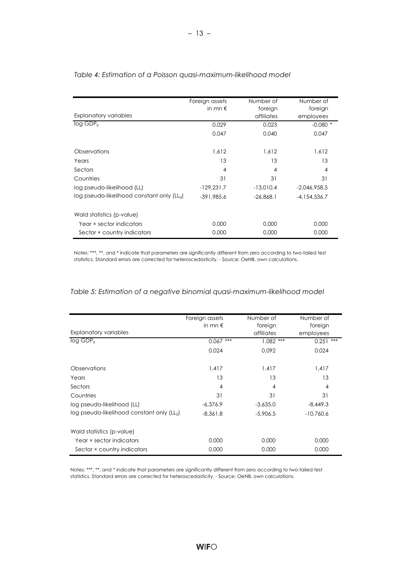|                                              | Foreign assets   | Number of   | Number of      |
|----------------------------------------------|------------------|-------------|----------------|
|                                              | in mn $\epsilon$ | foreign     | foreign        |
| <b>Explanatory variables</b>                 |                  | affiliates  | employees      |
| $log GDP_{it}$                               | 0.029            | 0.023       | $-0.080$ *     |
|                                              | 0.047            | 0.040       | 0.047          |
| Observations                                 | 1.612            | 1,612       | 1,612          |
| Years                                        | 13               | 13          | 13             |
| Sectors                                      | $\overline{4}$   | 4           | 4              |
| Countries                                    | 31               | 31          | 31             |
| log pseudo-likelihood (LL)                   | $-129,231.7$     | $-13.010.4$ | $-2.046.958.5$ |
| $log$ pseudo-likelihood constant only $(L0)$ | $-391.985.6$     | $-26.868.1$ | $-4.154.536.7$ |
| Wald statistics (p-value)                    |                  |             |                |
| Year × sector indicators                     | 0.000            | 0.000       | 0.000          |
| Sector × country indicators                  | 0.000            | 0.000       | 0.000          |

#### *Table 4: Estimation of a Poisson quasi-maximum-likelihood model*

Notes: \*\*\*, \*\*, and \* indicate that parameters are significantly different from zero according to two-tailed test statistics. Standard errors are corrected for heteroscedasticity. - Source: OeNB, own calculations.

#### *Table 5: Estimation of a negative binomial quasi-maximum-likelihood model*

|                                              | Foreign assets   | Number of   | Number of    |
|----------------------------------------------|------------------|-------------|--------------|
|                                              | in mn $\epsilon$ | foreign     | foreign      |
| <b>Explanatory variables</b>                 |                  | affiliates  | employees    |
| log GDP <sub>it</sub>                        | $0.067$ ***      | $1.082$ *** | 0.251<br>*** |
|                                              | 0.024            | 0.092       | 0.024        |
| Observations                                 | 1,417            | 1,417       | 1,417        |
| Years                                        | 13               | 13          | 13           |
| Sectors                                      | 4                | 4           | 4            |
| Countries                                    | 31               | 31          | 31           |
| log pseudo-likelihood (LL)                   | $-6,376.9$       | $-3,635.0$  | $-8,449.3$   |
| $log$ pseudo-likelihood constant only $(L0)$ | $-8.361.8$       | $-5,906.5$  | $-10,760.6$  |
| Wald statistics (p-value)                    |                  |             |              |
| Year × sector indicators                     | 0.000            | 0.000       | 0.000        |
| Sector × country indicators                  | 0.000            | 0.000       | 0.000        |

Notes: \*\*\*, \*\*, and \* indicate that parameters are significantly different from zero according to two-tailed test statistics. Standard errors are corrected for heteroscedasticity. - Source: OeNB, own calculations.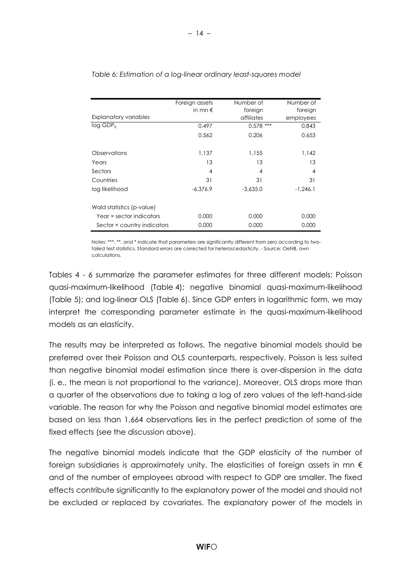|                              | Foreign assets   | Number of   | Number of      |
|------------------------------|------------------|-------------|----------------|
|                              | in mn $\epsilon$ | foreign     | foreign        |
| <b>Explanatory variables</b> |                  | affiliates  | employees      |
| $log GDP_{it}$               | 0.497            | $0.578$ *** | 0.843          |
|                              | 0.562            | 0.206       | 0.653          |
| Observations                 | 1,137            | 1,155       | 1,142          |
| Years                        | 13               | 13          | 13             |
| Sectors                      | 4                | 4           | $\overline{4}$ |
| Countries                    | 31               | 31          | 31             |
| log likelihood               | $-6.376.9$       | $-3.635.0$  | $-1,246.1$     |
| Wald statistics (p-value)    |                  |             |                |
| Year × sector indicators     | 0.000            | 0.000       | 0.000          |
| Sector × country indicators  | 0.000            | 0.000       | 0.000          |

*Table 6: Estimation of a log-linear ordinary least-squares model*

Notes: \*\*\*, \*\*, and \* indicate that parameters are significantly different from zero according to twotailed test statistics. Standard errors are corrected for heteroscedasticity. - Source: OeNB, own calculations.

Tables 4 - 6 summarize the parameter estimates for three different models: Poisson quasi-maximum-likelihood (Table 4); negative binomial quasi-maximum-likelihood (Table 5); and log-linear OLS (Table 6). Since GDP enters in logarithmic form, we may interpret the corresponding parameter estimate in the quasi-maximum-likelihood models as an elasticity.

The results may be interpreted as follows. The negative binomial models should be preferred over their Poisson and OLS counterparts, respectively. Poisson is less suited than negative binomial model estimation since there is over-dispersion in the data (i. e., the mean is not proportional to the variance). Moreover, OLS drops more than a quarter of the observations due to taking a log of zero values of the left-hand-side variable. The reason for why the Poisson and negative binomial model estimates are based on less than 1,664 observations lies in the perfect prediction of some of the fixed effects (see the discussion above).

The negative binomial models indicate that the GDP elasticity of the number of foreign subsidiaries is approximately unity. The elasticities of foreign assets in mn  $\epsilon$ and of the number of employees abroad with respect to GDP are smaller. The fixed effects contribute significantly to the explanatory power of the model and should not be excluded or replaced by covariates. The explanatory power of the models in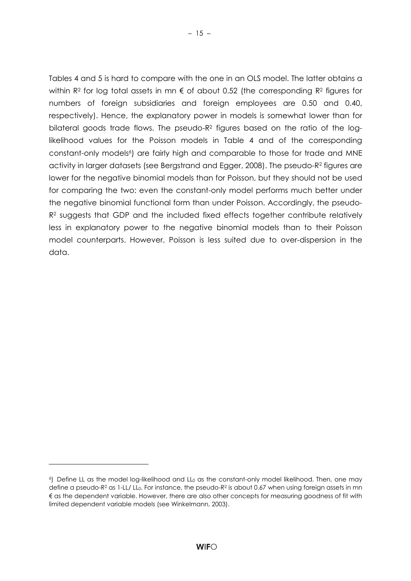Tables 4 and 5 is hard to compare with the one in an OLS model. The latter obtains a within R<sup>2</sup> for log total assets in mn  $\epsilon$  of about 0.52 (the corresponding R<sup>2</sup> figures for numbers of foreign subsidiaries and foreign employees are 0.50 and 0.40, respectively). Hence, the explanatory power in models is somewhat lower than for bilateral goods trade flows. The pseudo-R2 figures based on the ratio of the loglikelihood values for the Poisson models in Table 4 and of the corresponding constant-only models<sup>6</sup>) are fairly high and comparable to those for trade and MNE activity in larger datasets (see Bergstrand and Egger, 2008). The pseudo-R2 figures are lower for the negative binomial models than for Poisson, but they should not be used for comparing the two: even the constant-only model performs much better under the negative binomial functional form than under Poisson. Accordingly, the pseudo-R<sup>2</sup> suggests that GDP and the included fixed effects together contribute relatively less in explanatory power to the negative binomial models than to their Poisson model counterparts. However, Poisson is less suited due to over-dispersion in the data.

 $\overline{a}$ 

<sup>&</sup>lt;sup>6</sup>) Define LL as the model log-likelihood and LL<sub>0</sub> as the constant-only model likelihood. Then, one may define a pseudo-R<sup>2</sup> as 1-LL/ LL<sub>0</sub>. For instance, the pseudo-R<sup>2</sup> is about 0.67 when using foreign assets in mn € as the dependent variable. However, there are also other concepts for measuring goodness of fit with limited dependent variable models (see Winkelmann, 2003).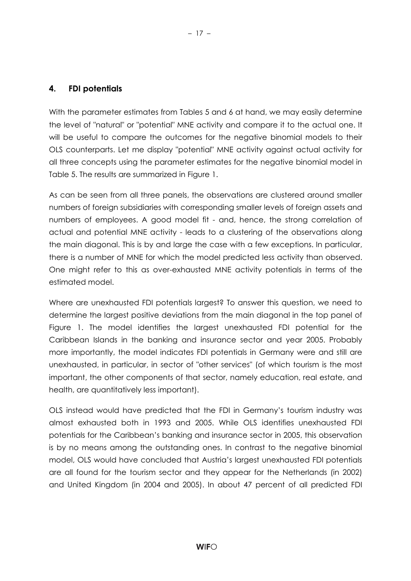#### **4. FDI potentials**

With the parameter estimates from Tables 5 and 6 at hand, we may easily determine the level of "natural" or "potential" MNE activity and compare it to the actual one. It will be useful to compare the outcomes for the negative binomial models to their OLS counterparts. Let me display "potential" MNE activity against actual activity for all three concepts using the parameter estimates for the negative binomial model in Table 5. The results are summarized in Figure 1.

As can be seen from all three panels, the observations are clustered around smaller numbers of foreign subsidiaries with corresponding smaller levels of foreign assets and numbers of employees. A good model fit - and, hence, the strong correlation of actual and potential MNE activity - leads to a clustering of the observations along the main diagonal. This is by and large the case with a few exceptions. In particular, there is a number of MNE for which the model predicted less activity than observed. One might refer to this as over-exhausted MNE activity potentials in terms of the estimated model.

Where are unexhausted FDI potentials largest? To answer this question, we need to determine the largest positive deviations from the main diagonal in the top panel of Figure 1. The model identifies the largest unexhausted FDI potential for the Caribbean Islands in the banking and insurance sector and year 2005. Probably more importantly, the model indicates FDI potentials in Germany were and still are unexhausted, in particular, in sector of "other services" (of which tourism is the most important, the other components of that sector, namely education, real estate, and health, are quantitatively less important).

OLS instead would have predicted that the FDI in Germany's tourism industry was almost exhausted both in 1993 and 2005. While OLS identifies unexhausted FDI potentials for the Caribbean's banking and insurance sector in 2005, this observation is by no means among the outstanding ones. In contrast to the negative binomial model, OLS would have concluded that Austria's largest unexhausted FDI potentials are all found for the tourism sector and they appear for the Netherlands (in 2002) and United Kingdom (in 2004 and 2005). In about 47 percent of all predicted FDI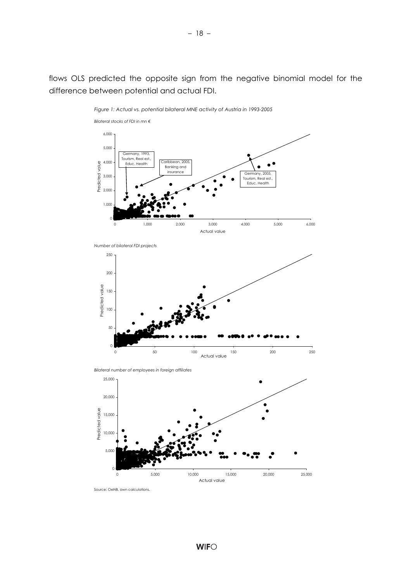flows OLS predicted the opposite sign from the negative binomial model for the difference between potential and actual FDI.



*Figure 1: Actual vs. potential bilateral MNE activity of Austria in 1993-2005*





*Bilateral number of employees in foreign affiliates*



Source: OeNB, own calculations.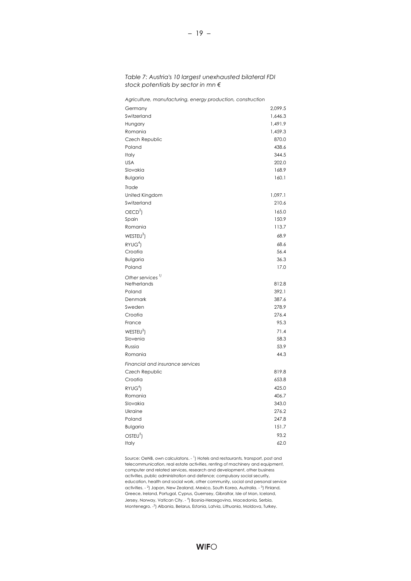| Agriculture, manufacturing, energy production, construction |         |
|-------------------------------------------------------------|---------|
| Germany                                                     | 2,099.5 |
| Switzerland                                                 | 1,646.3 |
| Hungary                                                     | 1,491.9 |
| Romania                                                     | 1,459.3 |
| Czech Republic                                              | 870.0   |
| Poland                                                      | 438.6   |
| Italy                                                       | 344.5   |
| <b>USA</b>                                                  | 202.0   |
| Slovakia                                                    | 168.9   |
| Bulgaria                                                    | 160.1   |
| Trade                                                       |         |
| United Kingdom                                              | 1,097.1 |
| Switzerland                                                 | 210.6   |
| OECD <sup>2</sup>                                           | 165.0   |
| Spain                                                       | 150.9   |
| Romania                                                     | 113.7   |
| WESTEU <sup>3</sup>                                         | 68.9    |
| RYUG <sup>4</sup>                                           | 68.6    |
| Croatia                                                     | 56.4    |
| <b>Bulgaria</b>                                             | 36.3    |
| Poland                                                      | 17.0    |
| Other services <sup>11</sup>                                |         |
| Netherlands                                                 | 812.8   |
| Poland                                                      | 392.1   |
| Denmark                                                     | 387.6   |
| Sweden                                                      | 278.9   |
| Croatia                                                     | 276.4   |
| France                                                      | 95.3    |
| WESTEU <sup>3</sup>                                         | 71.4    |
| Slovenia                                                    | 58.3    |
| Russia                                                      | 53.9    |
| Romania                                                     | 44.3    |
| Financial and insurance services                            |         |
| Czech Republic                                              | 819.8   |
| Croatia                                                     | 653.8   |
| RYUG <sup>4</sup>                                           | 425.0   |
| Romania                                                     | 406.7   |
| Slovakia                                                    | 343.0   |
| Ukraine                                                     | 276.2   |
| Poland                                                      | 247.8   |
| Bulgaria                                                    | 151.7   |
| OSTEU <sup>5</sup> )                                        | 93.2    |
| Italy                                                       | 62.0    |

*Table 7: Austria's 10 largest unexhausted bilateral FDI stock potentials by sector in mn €*

Source: OeNB, own calculatons. - <sup>1</sup>) Hotels and restaurants, transport, post and telecommunication, real estate activities, renting of machinery and equipment, computer and related services, research and development, other business activities, public administration and defence; compulsory social security, education, health and social work, other community, social and personal service activities. - <sup>2</sup>) Japan, New Zealand, Mexico, South Korea, Australia. - <sup>3</sup>) Finland, Greece, Ireland, Portugal, Cyprus, Guernsey, Gibraltar, Isle of Man, Iceland, Jersey, Norway, Vatican City. - <sup>4</sup>) Bosnia-Herzegovina, Macedonia, Serbia, Montenegro. -5 ) Albania, Belarus, Estonia, Latvia, Lithuania, Moldova, Turkey.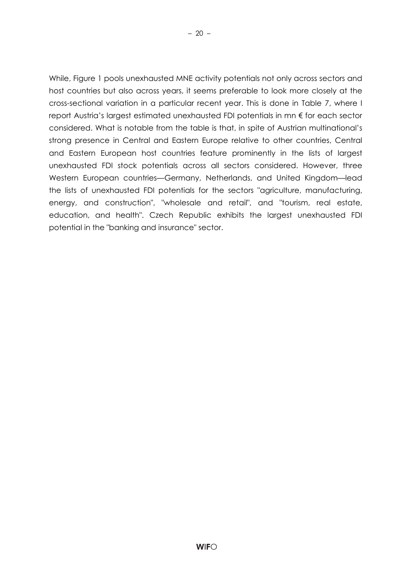While, Figure 1 pools unexhausted MNE activity potentials not only across sectors and

– 20 –

host countries but also across years, it seems preferable to look more closely at the cross-sectional variation in a particular recent year. This is done in Table 7, where I report Austria's largest estimated unexhausted FDI potentials in mn € for each sector considered. What is notable from the table is that, in spite of Austrian multinational's strong presence in Central and Eastern Europe relative to other countries, Central and Eastern European host countries feature prominently in the lists of largest unexhausted FDI stock potentials across all sectors considered. However, three Western European countries—Germany, Netherlands, and United Kingdom—lead the lists of unexhausted FDI potentials for the sectors "agriculture, manufacturing, energy, and construction", "wholesale and retail", and "tourism, real estate, education, and health". Czech Republic exhibits the largest unexhausted FDI potential in the "banking and insurance" sector.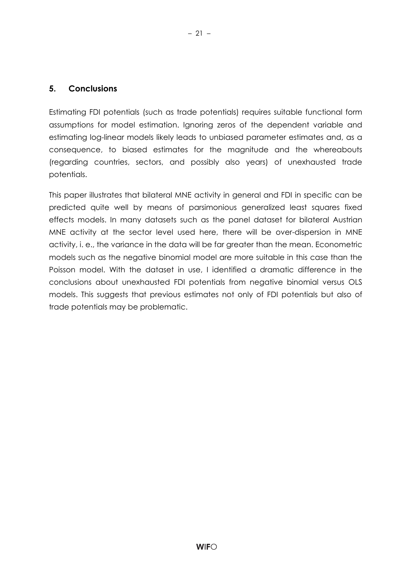#### **5. Conclusions**

Estimating FDI potentials (such as trade potentials) requires suitable functional form assumptions for model estimation. Ignoring zeros of the dependent variable and estimating log-linear models likely leads to unbiased parameter estimates and, as a consequence, to biased estimates for the magnitude and the whereabouts (regarding countries, sectors, and possibly also years) of unexhausted trade potentials.

– 21 –

This paper illustrates that bilateral MNE activity in general and FDI in specific can be predicted quite well by means of parsimonious generalized least squares fixed effects models. In many datasets such as the panel dataset for bilateral Austrian MNE activity at the sector level used here, there will be over-dispersion in MNE activity, i. e., the variance in the data will be far greater than the mean. Econometric models such as the negative binomial model are more suitable in this case than the Poisson model. With the dataset in use, I identified a dramatic difference in the conclusions about unexhausted FDI potentials from negative binomial versus OLS models. This suggests that previous estimates not only of FDI potentials but also of trade potentials may be problematic.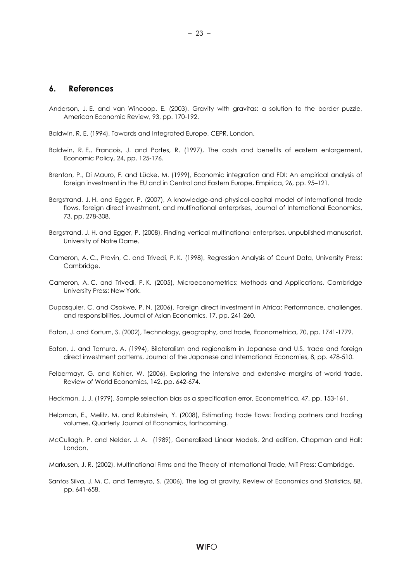- Anderson, J. E. and van Wincoop, E. (2003), Gravity with gravitas: a solution to the border puzzle, American Economic Review, 93, pp. 170-192.
- Baldwin, R. E. (1994), Towards and Integrated Europe, CEPR, London.
- Baldwin, R. E., Francois, J. and Portes, R. (1997), The costs and benefits of eastern enlargement, Economic Policy, 24, pp. 125-176.
- Brenton, P., Di Mauro, F. and Lücke, M. (1999), Economic integration and FDI: An empirical analysis of foreign investment in the EU and in Central and Eastern Europe, Empirica, 26, pp. 95–121.
- Bergstrand, J. H. and Egger, P. (2007), A knowledge-and-physical-capital model of international trade flows, foreign direct investment, and multinational enterprises, Journal of International Economics, 73, pp. 278-308.
- Bergstrand, J. H. and Egger, P. (2008), Finding vertical multinational enterprises, unpublished manuscript, University of Notre Dame.
- Cameron, A. C., Pravin, C. and Trivedi, P. K. (1998), Regression Analysis of Count Data, University Press: Cambridge.
- Cameron, A. C. and Trivedi, P. K. (2005), Microeconometrics: Methods and Applications, Cambridge University Press: New York.
- Dupasquier, C. and Osakwe, P. N. (2006), Foreign direct investment in Africa: Performance, challenges, and responsibilities, Journal of Asian Economics, 17, pp. 241-260.
- Eaton, J. and Kortum, S. (2002), Technology, geography, and trade, Econometrica, 70, pp. 1741-1779.
- Eaton, J. and Tamura, A. (1994), Bilateralism and regionalism in Japanese and U.S. trade and foreign direct investment patterns, Journal of the Japanese and International Economies, 8, pp. 478-510.
- Felbermayr, G. and Kohler, W. (2006), Exploring the intensive and extensive margins of world trade, Review of World Economics, 142, pp. 642-674.
- Heckman, J. J. (1979), Sample selection bias as a specification error, Econometrica, 47, pp. 153-161.
- Helpman, E., Melitz, M. and Rubinstein, Y. (2008), Estimating trade flows: Trading partners and trading volumes, Quarterly Journal of Economics, forthcoming.
- McCullagh, P. and Nelder, J. A. (1989), Generalized Linear Models, 2nd edition, Chapman and Hall: London.
- Markusen, J. R. (2002), Multinational Firms and the Theory of International Trade, MIT Press: Cambridge.
- Santos Silva, J. M. C. and Tenreyro, S. (2006), The log of gravity, Review of Economics and Statistics, 88, pp. 641-658.